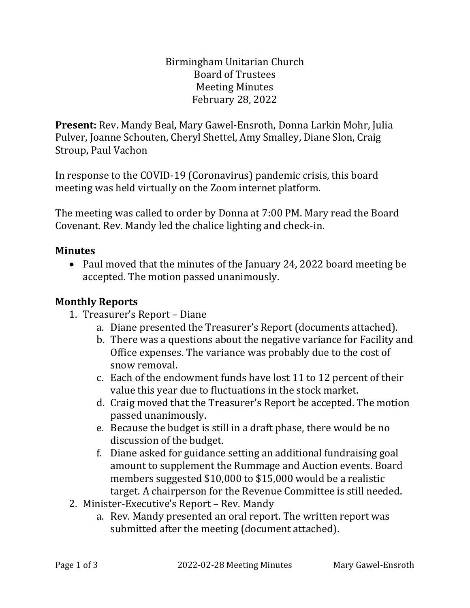Birmingham Unitarian Church Board of Trustees Meeting Minutes February 28, 2022

**Present:** Rev. Mandy Beal, Mary Gawel-Ensroth, Donna Larkin Mohr, Julia Pulver, Joanne Schouten, Cheryl Shettel, Amy Smalley, Diane Slon, Craig Stroup, Paul Vachon

In response to the COVID-19 (Coronavirus) pandemic crisis, this board meeting was held virtually on the Zoom internet platform.

The meeting was called to order by Donna at 7:00 PM. Mary read the Board Covenant. Rev. Mandy led the chalice lighting and check-in.

#### **Minutes**

• Paul moved that the minutes of the January 24, 2022 board meeting be accepted. The motion passed unanimously.

#### **Monthly Reports**

- 1. Treasurer's Report Diane
	- a. Diane presented the Treasurer's Report (documents attached).
	- b. There was a questions about the negative variance for Facility and Office expenses. The variance was probably due to the cost of snow removal.
	- c. Each of the endowment funds have lost 11 to 12 percent of their value this year due to fluctuations in the stock market.
	- d. Craig moved that the Treasurer's Report be accepted. The motion passed unanimously.
	- e. Because the budget is still in a draft phase, there would be no discussion of the budget.
	- f. Diane asked for guidance setting an additional fundraising goal amount to supplement the Rummage and Auction events. Board members suggested \$10,000 to \$15,000 would be a realistic target. A chairperson for the Revenue Committee is still needed.
- 2. Minister-Executive's Report Rev. Mandy
	- a. Rev. Mandy presented an oral report. The written report was submitted after the meeting (document attached).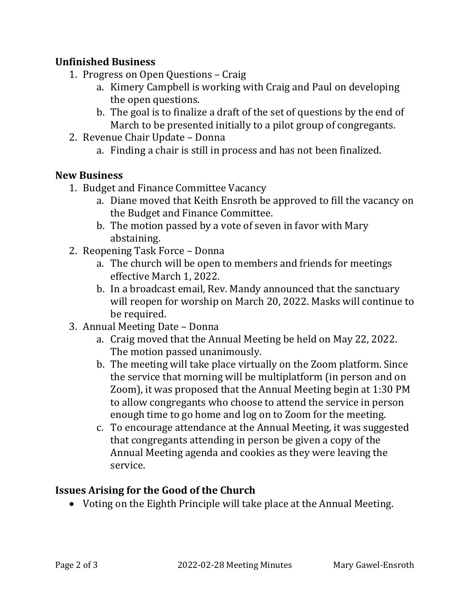## **Unfinished Business**

- 1. Progress on Open Questions Craig
	- a. Kimery Campbell is working with Craig and Paul on developing the open questions.
	- b. The goal is to finalize a draft of the set of questions by the end of March to be presented initially to a pilot group of congregants.
- 2. Revenue Chair Update Donna
	- a. Finding a chair is still in process and has not been finalized.

## **New Business**

- 1. Budget and Finance Committee Vacancy
	- a. Diane moved that Keith Ensroth be approved to fill the vacancy on the Budget and Finance Committee.
	- b. The motion passed by a vote of seven in favor with Mary abstaining.
- 2. Reopening Task Force Donna
	- a. The church will be open to members and friends for meetings effective March 1, 2022.
	- b. In a broadcast email, Rev. Mandy announced that the sanctuary will reopen for worship on March 20, 2022. Masks will continue to be required.
- 3. Annual Meeting Date Donna
	- a. Craig moved that the Annual Meeting be held on May 22, 2022. The motion passed unanimously.
	- b. The meeting will take place virtually on the Zoom platform. Since the service that morning will be multiplatform (in person and on Zoom), it was proposed that the Annual Meeting begin at 1:30 PM to allow congregants who choose to attend the service in person enough time to go home and log on to Zoom for the meeting.
	- c. To encourage attendance at the Annual Meeting, it was suggested that congregants attending in person be given a copy of the Annual Meeting agenda and cookies as they were leaving the service.

# **Issues Arising for the Good of the Church**

• Voting on the Eighth Principle will take place at the Annual Meeting.